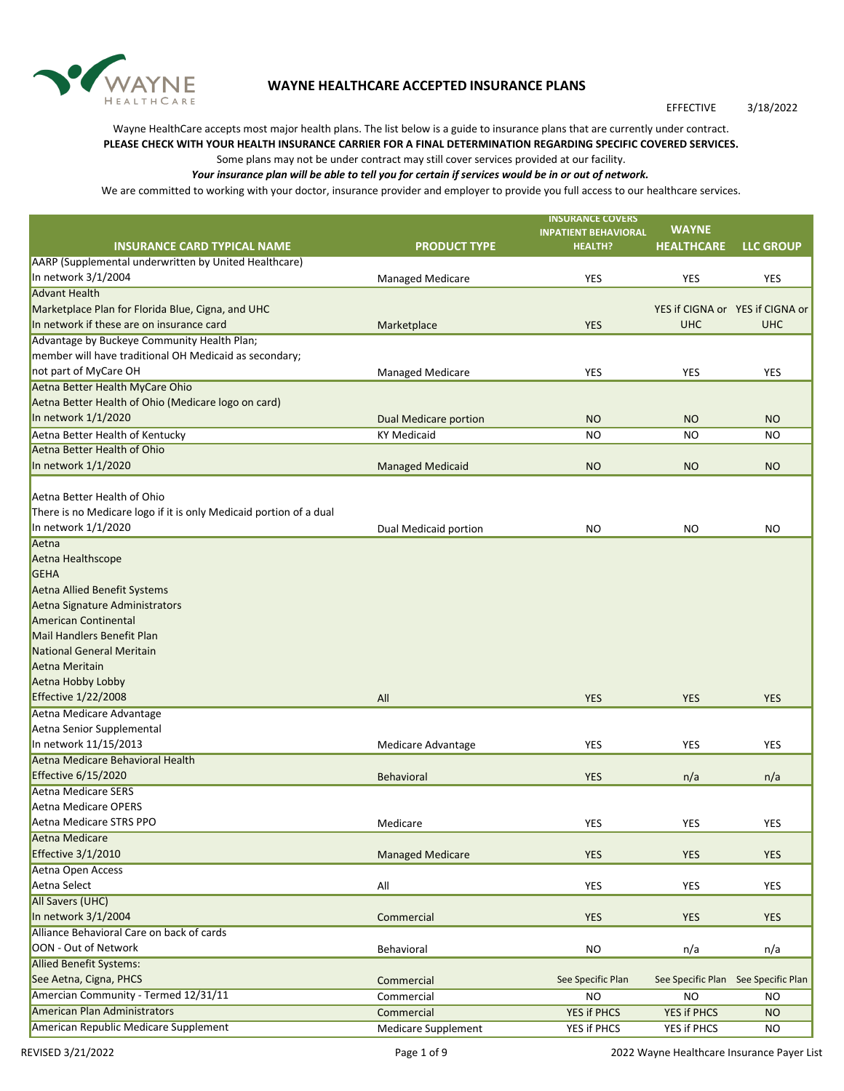

## **WAYNE HEALTHCARE ACCEPTED INSURANCE PLANS**

## EFFECTIVE 3/18/2022

Wayne HealthCare accepts most major health plans. The list below is a guide to insurance plans that are currently under contract. **PLEASE CHECK WITH YOUR HEALTH INSURANCE CARRIER FOR A FINAL DETERMINATION REGARDING SPECIFIC COVERED SERVICES.** 

## Some plans may not be under contract may still cover services provided at our facility.

*Your insurance plan will be able to tell you for certain if services would be in or out of network.*

We are committed to working with your doctor, insurance provider and employer to provide you full access to our healthcare services.

|                                                                                                |                              | <b>INSURANCE COVERS</b>     | <b>WAYNE</b>                        |                  |
|------------------------------------------------------------------------------------------------|------------------------------|-----------------------------|-------------------------------------|------------------|
|                                                                                                |                              | <b>INPATIENT BEHAVIORAL</b> |                                     |                  |
| <b>INSURANCE CARD TYPICAL NAME</b>                                                             | <b>PRODUCT TYPE</b>          | <b>HEALTH?</b>              | <b>HEALTHCARE</b>                   | <b>LLC GROUP</b> |
| AARP (Supplemental underwritten by United Healthcare)                                          |                              |                             |                                     |                  |
| In network 3/1/2004                                                                            | <b>Managed Medicare</b>      | YES                         | <b>YES</b>                          | YES              |
| <b>Advant Health</b>                                                                           |                              |                             |                                     |                  |
| Marketplace Plan for Florida Blue, Cigna, and UHC<br>In network if these are on insurance card |                              |                             | YES if CIGNA or YES if CIGNA or     |                  |
|                                                                                                | Marketplace                  | <b>YES</b>                  | <b>UHC</b>                          | <b>UHC</b>       |
| Advantage by Buckeye Community Health Plan;                                                    |                              |                             |                                     |                  |
| member will have traditional OH Medicaid as secondary;                                         |                              |                             |                                     |                  |
| not part of MyCare OH                                                                          | <b>Managed Medicare</b>      | <b>YES</b>                  | YES                                 | <b>YES</b>       |
| Aetna Better Health MyCare Ohio                                                                |                              |                             |                                     |                  |
| Aetna Better Health of Ohio (Medicare logo on card)                                            |                              |                             |                                     |                  |
| In network 1/1/2020                                                                            | <b>Dual Medicare portion</b> | <b>NO</b>                   | <b>NO</b>                           | <b>NO</b>        |
| Aetna Better Health of Kentucky                                                                | <b>KY Medicaid</b>           | <b>NO</b>                   | <b>NO</b>                           | <b>NO</b>        |
| Aetna Better Health of Ohio                                                                    |                              |                             |                                     |                  |
| In network 1/1/2020                                                                            | <b>Managed Medicaid</b>      | <b>NO</b>                   | <b>NO</b>                           | <b>NO</b>        |
| Aetna Better Health of Ohio                                                                    |                              |                             |                                     |                  |
| There is no Medicare logo if it is only Medicaid portion of a dual                             |                              |                             |                                     |                  |
| In network 1/1/2020                                                                            | Dual Medicaid portion        | <b>NO</b>                   | NO.                                 | <b>NO</b>        |
| Aetna                                                                                          |                              |                             |                                     |                  |
| Aetna Healthscope                                                                              |                              |                             |                                     |                  |
| GEHA                                                                                           |                              |                             |                                     |                  |
| Aetna Allied Benefit Systems                                                                   |                              |                             |                                     |                  |
| Aetna Signature Administrators                                                                 |                              |                             |                                     |                  |
| <b>American Continental</b>                                                                    |                              |                             |                                     |                  |
| <b>Mail Handlers Benefit Plan</b>                                                              |                              |                             |                                     |                  |
| National General Meritain                                                                      |                              |                             |                                     |                  |
| Aetna Meritain                                                                                 |                              |                             |                                     |                  |
| Aetna Hobby Lobby                                                                              |                              |                             |                                     |                  |
| <b>Effective 1/22/2008</b>                                                                     | All                          | <b>YES</b>                  | <b>YES</b>                          | <b>YES</b>       |
| Aetna Medicare Advantage                                                                       |                              |                             |                                     |                  |
| Aetna Senior Supplemental                                                                      |                              |                             |                                     |                  |
| In network 11/15/2013                                                                          | Medicare Advantage           | <b>YES</b>                  | <b>YES</b>                          | YES              |
| Aetna Medicare Behavioral Health                                                               |                              |                             |                                     |                  |
| <b>Effective 6/15/2020</b>                                                                     | Behavioral                   | <b>YES</b>                  | n/a                                 | n/a              |
| <b>Aetna Medicare SERS</b>                                                                     |                              |                             |                                     |                  |
| Aetna Medicare OPERS                                                                           |                              |                             |                                     |                  |
| Aetna Medicare STRS PPO                                                                        | Medicare                     | <b>YES</b>                  | <b>YES</b>                          | <b>YES</b>       |
| <b>Aetna Medicare</b>                                                                          |                              |                             |                                     |                  |
| <b>Effective 3/1/2010</b>                                                                      | <b>Managed Medicare</b>      | <b>YES</b>                  | <b>YES</b>                          | <b>YES</b>       |
| Aetna Open Access                                                                              |                              |                             |                                     |                  |
| Aetna Select                                                                                   | All                          | <b>YES</b>                  | <b>YES</b>                          | YES              |
| All Savers (UHC)                                                                               |                              |                             |                                     |                  |
| In network 3/1/2004                                                                            | Commercial                   | <b>YES</b>                  | <b>YES</b>                          | <b>YES</b>       |
| Alliance Behavioral Care on back of cards                                                      |                              |                             |                                     |                  |
| OON - Out of Network                                                                           | Behavioral                   | <b>NO</b>                   | n/a                                 | n/a              |
| <b>Allied Benefit Systems:</b>                                                                 |                              |                             |                                     |                  |
| See Aetna, Cigna, PHCS                                                                         | Commercial                   | See Specific Plan           | See Specific Plan See Specific Plan |                  |
| Amercian Community - Termed 12/31/11                                                           | Commercial                   | <b>NO</b>                   | <b>NO</b>                           | <b>NO</b>        |
| American Plan Administrators                                                                   |                              | YES if PHCS                 | YES if PHCS                         |                  |
|                                                                                                | Commercial                   |                             |                                     | <b>NO</b>        |
| American Republic Medicare Supplement                                                          | <b>Medicare Supplement</b>   | YES if PHCS                 | YES if PHCS                         | <b>NO</b>        |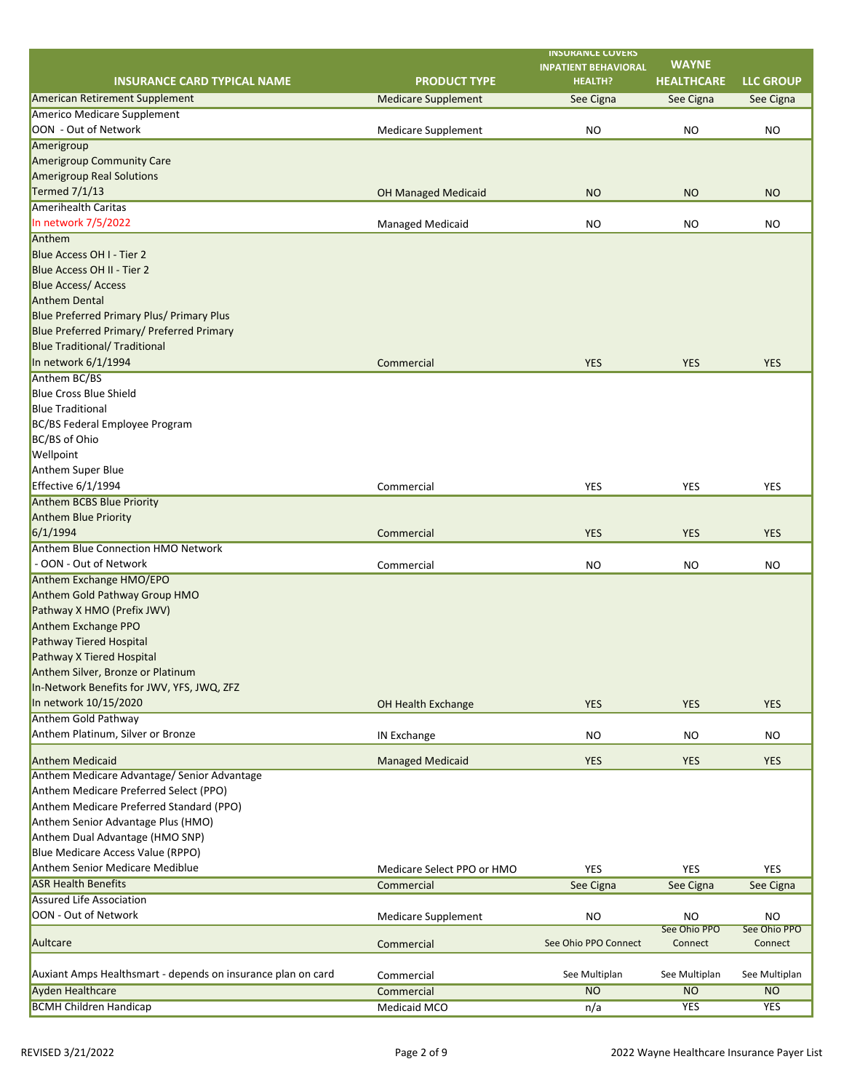|                                                              |                            | <b>INSURANCE COVERS</b>                       | <b>WAYNE</b>      |                  |
|--------------------------------------------------------------|----------------------------|-----------------------------------------------|-------------------|------------------|
| <b>INSURANCE CARD TYPICAL NAME</b>                           | <b>PRODUCT TYPE</b>        | <b>INPATIENT BEHAVIORAL</b><br><b>HEALTH?</b> | <b>HEALTHCARE</b> | <b>LLC GROUP</b> |
| American Retirement Supplement                               |                            |                                               |                   |                  |
| <b>Americo Medicare Supplement</b>                           | <b>Medicare Supplement</b> | See Cigna                                     | See Cigna         | See Cigna        |
| OON - Out of Network                                         | <b>Medicare Supplement</b> | <b>NO</b>                                     | <b>NO</b>         | <b>NO</b>        |
| Amerigroup                                                   |                            |                                               |                   |                  |
| Amerigroup Community Care                                    |                            |                                               |                   |                  |
| <b>Amerigroup Real Solutions</b>                             |                            |                                               |                   |                  |
| Termed $7/1/13$                                              |                            |                                               |                   |                  |
| <b>Amerihealth Caritas</b>                                   | <b>OH Managed Medicaid</b> | <b>NO</b>                                     | <b>NO</b>         | <b>NO</b>        |
| In network 7/5/2022                                          |                            |                                               |                   |                  |
|                                                              | <b>Managed Medicaid</b>    | <b>NO</b>                                     | NO                | <b>NO</b>        |
| Anthem                                                       |                            |                                               |                   |                  |
| Blue Access OH I - Tier 2                                    |                            |                                               |                   |                  |
| Blue Access OH II - Tier 2                                   |                            |                                               |                   |                  |
| <b>Blue Access/ Access</b>                                   |                            |                                               |                   |                  |
| <b>Anthem Dental</b>                                         |                            |                                               |                   |                  |
| <b>Blue Preferred Primary Plus/ Primary Plus</b>             |                            |                                               |                   |                  |
| Blue Preferred Primary/ Preferred Primary                    |                            |                                               |                   |                  |
| <b>Blue Traditional/ Traditional</b>                         |                            |                                               |                   |                  |
| In network 6/1/1994                                          | Commercial                 | <b>YES</b>                                    | <b>YES</b>        | <b>YES</b>       |
| Anthem BC/BS                                                 |                            |                                               |                   |                  |
| <b>Blue Cross Blue Shield</b>                                |                            |                                               |                   |                  |
| <b>Blue Traditional</b>                                      |                            |                                               |                   |                  |
| BC/BS Federal Employee Program                               |                            |                                               |                   |                  |
| BC/BS of Ohio                                                |                            |                                               |                   |                  |
| Wellpoint                                                    |                            |                                               |                   |                  |
| Anthem Super Blue                                            |                            |                                               |                   |                  |
| <b>Effective 6/1/1994</b>                                    | Commercial                 | <b>YES</b>                                    | <b>YES</b>        | <b>YES</b>       |
| <b>Anthem BCBS Blue Priority</b>                             |                            |                                               |                   |                  |
| Anthem Blue Priority                                         |                            |                                               |                   |                  |
| 6/1/1994                                                     | Commercial                 | <b>YES</b>                                    | <b>YES</b>        | <b>YES</b>       |
| <b>Anthem Blue Connection HMO Network</b>                    |                            |                                               |                   |                  |
| - OON - Out of Network                                       | Commercial                 | <b>NO</b>                                     | <b>NO</b>         | <b>NO</b>        |
| Anthem Exchange HMO/EPO                                      |                            |                                               |                   |                  |
| Anthem Gold Pathway Group HMO                                |                            |                                               |                   |                  |
| Pathway X HMO (Prefix JWV)                                   |                            |                                               |                   |                  |
| Anthem Exchange PPO                                          |                            |                                               |                   |                  |
| Pathway Tiered Hospital                                      |                            |                                               |                   |                  |
| Pathway X Tiered Hospital                                    |                            |                                               |                   |                  |
| Anthem Silver, Bronze or Platinum                            |                            |                                               |                   |                  |
| In-Network Benefits for JWV, YFS, JWQ, ZFZ                   |                            |                                               |                   |                  |
| In network 10/15/2020                                        | OH Health Exchange         | <b>YES</b>                                    | <b>YES</b>        | <b>YES</b>       |
| Anthem Gold Pathway                                          |                            |                                               |                   |                  |
| Anthem Platinum, Silver or Bronze                            | IN Exchange                | <b>NO</b>                                     | <b>NO</b>         | <b>NO</b>        |
|                                                              |                            |                                               |                   |                  |
| <b>Anthem Medicaid</b>                                       | <b>Managed Medicaid</b>    | <b>YES</b>                                    | <b>YES</b>        | <b>YES</b>       |
| Anthem Medicare Advantage/ Senior Advantage                  |                            |                                               |                   |                  |
| Anthem Medicare Preferred Select (PPO)                       |                            |                                               |                   |                  |
| Anthem Medicare Preferred Standard (PPO)                     |                            |                                               |                   |                  |
| Anthem Senior Advantage Plus (HMO)                           |                            |                                               |                   |                  |
| Anthem Dual Advantage (HMO SNP)                              |                            |                                               |                   |                  |
| Blue Medicare Access Value (RPPO)                            |                            |                                               |                   |                  |
| <b>Anthem Senior Medicare Mediblue</b>                       | Medicare Select PPO or HMO | <b>YES</b>                                    | <b>YES</b>        | <b>YES</b>       |
| <b>ASR Health Benefits</b>                                   | Commercial                 | See Cigna                                     | See Cigna         | See Cigna        |
| <b>Assured Life Association</b>                              |                            |                                               |                   |                  |
| OON - Out of Network                                         | <b>Medicare Supplement</b> | <b>NO</b>                                     | <b>NO</b>         | <b>NO</b>        |
|                                                              |                            |                                               | See Ohio PPO      | See Ohio PPO     |
| Aultcare                                                     | Commercial                 | See Ohio PPO Connect                          | Connect           | Connect          |
|                                                              |                            |                                               |                   |                  |
| Auxiant Amps Healthsmart - depends on insurance plan on card | Commercial                 | See Multiplan                                 | See Multiplan     | See Multiplan    |
| <b>Ayden Healthcare</b>                                      | Commercial                 | <b>NO</b>                                     | <b>NO</b>         | <b>NO</b>        |
| <b>BCMH Children Handicap</b>                                | Medicaid MCO               | n/a                                           | YES               | YES              |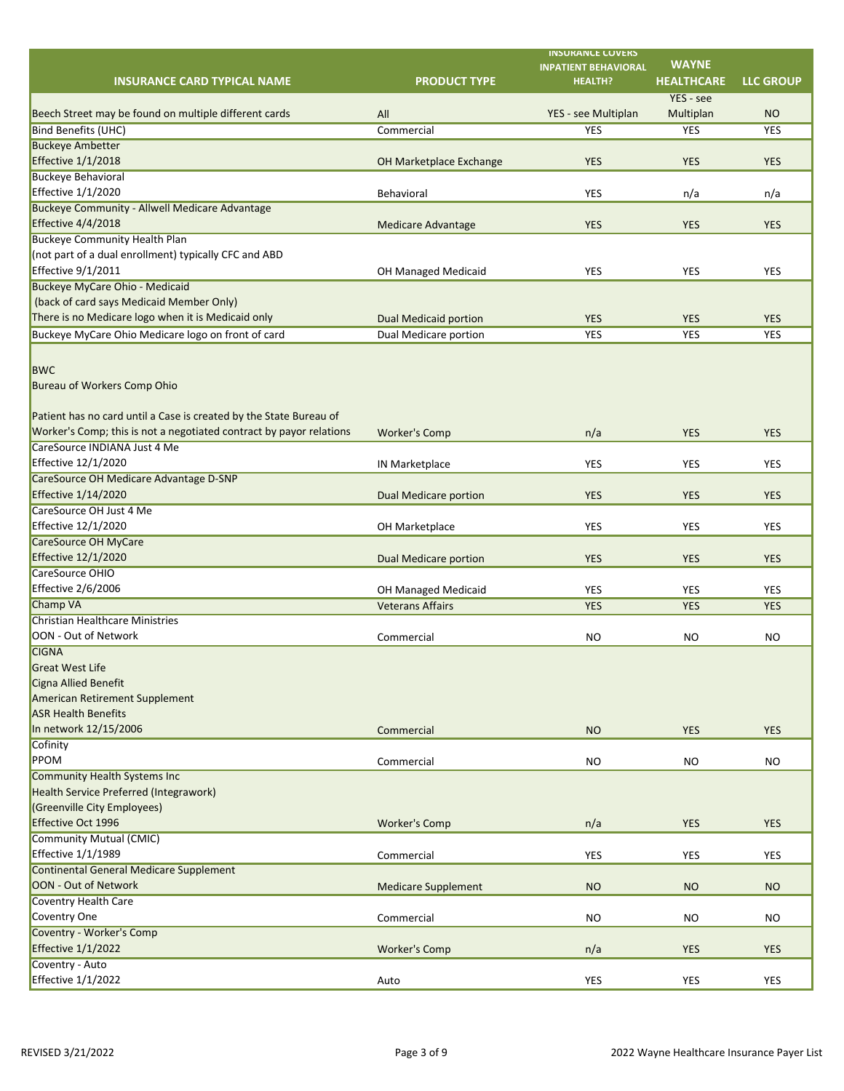|                                                                                                |                              | <b>INSURANCE COVERS</b>     | <b>WAYNE</b>      |                  |
|------------------------------------------------------------------------------------------------|------------------------------|-----------------------------|-------------------|------------------|
|                                                                                                |                              | <b>INPATIENT BEHAVIORAL</b> |                   |                  |
| <b>INSURANCE CARD TYPICAL NAME</b>                                                             | <b>PRODUCT TYPE</b>          | <b>HEALTH?</b>              | <b>HEALTHCARE</b> | <b>LLC GROUP</b> |
|                                                                                                |                              |                             | YES - see         |                  |
| Beech Street may be found on multiple different cards                                          | All                          | YES - see Multiplan         | Multiplan         | <b>NO</b>        |
| <b>Bind Benefits (UHC)</b>                                                                     | Commercial                   | <b>YES</b>                  | <b>YES</b>        | <b>YES</b>       |
| <b>Buckeye Ambetter</b>                                                                        |                              |                             |                   |                  |
| <b>Effective 1/1/2018</b>                                                                      | OH Marketplace Exchange      | <b>YES</b>                  | <b>YES</b>        | <b>YES</b>       |
| <b>Buckeye Behavioral</b><br><b>Effective 1/1/2020</b>                                         |                              |                             |                   |                  |
|                                                                                                | Behavioral                   | <b>YES</b>                  | n/a               | n/a              |
| <b>Buckeye Community - Allwell Medicare Advantage</b>                                          |                              |                             |                   |                  |
| <b>Effective 4/4/2018</b>                                                                      | <b>Medicare Advantage</b>    | <b>YES</b>                  | <b>YES</b>        | <b>YES</b>       |
| <b>Buckeye Community Health Plan</b>                                                           |                              |                             |                   |                  |
| (not part of a dual enrollment) typically CFC and ABD<br><b>Effective 9/1/2011</b>             |                              |                             |                   |                  |
|                                                                                                | OH Managed Medicaid          | <b>YES</b>                  | <b>YES</b>        | <b>YES</b>       |
| <b>Buckeye MyCare Ohio - Medicaid</b>                                                          |                              |                             |                   |                  |
| (back of card says Medicaid Member Only)<br>There is no Medicare logo when it is Medicaid only |                              |                             |                   |                  |
|                                                                                                | <b>Dual Medicaid portion</b> | <b>YES</b>                  | <b>YES</b>        | <b>YES</b>       |
| Buckeye MyCare Ohio Medicare logo on front of card                                             | Dual Medicare portion        | <b>YES</b>                  | <b>YES</b>        | <b>YES</b>       |
|                                                                                                |                              |                             |                   |                  |
| <b>BWC</b>                                                                                     |                              |                             |                   |                  |
| Bureau of Workers Comp Ohio                                                                    |                              |                             |                   |                  |
|                                                                                                |                              |                             |                   |                  |
| Patient has no card until a Case is created by the State Bureau of                             |                              |                             |                   |                  |
| Worker's Comp; this is not a negotiated contract by payor relations                            | <b>Worker's Comp</b>         | n/a                         | <b>YES</b>        | <b>YES</b>       |
| CareSource INDIANA Just 4 Me                                                                   |                              |                             |                   |                  |
| <b>Effective 12/1/2020</b>                                                                     | IN Marketplace               | <b>YES</b>                  | <b>YES</b>        | <b>YES</b>       |
| CareSource OH Medicare Advantage D-SNP                                                         |                              |                             |                   |                  |
| <b>Effective 1/14/2020</b>                                                                     | <b>Dual Medicare portion</b> | <b>YES</b>                  | <b>YES</b>        | <b>YES</b>       |
| CareSource OH Just 4 Me                                                                        |                              |                             |                   |                  |
| Effective 12/1/2020                                                                            | OH Marketplace               | <b>YES</b>                  | <b>YES</b>        | YES              |
| <b>CareSource OH MyCare</b>                                                                    |                              |                             |                   |                  |
| <b>Effective 12/1/2020</b>                                                                     | <b>Dual Medicare portion</b> | <b>YES</b>                  | <b>YES</b>        | <b>YES</b>       |
| CareSource OHIO                                                                                |                              |                             |                   |                  |
| <b>Effective 2/6/2006</b>                                                                      | OH Managed Medicaid          | <b>YES</b>                  | <b>YES</b>        | <b>YES</b>       |
| <b>Champ VA</b>                                                                                | <b>Veterans Affairs</b>      | <b>YES</b>                  | <b>YES</b>        | <b>YES</b>       |
| <b>Christian Healthcare Ministries</b>                                                         |                              |                             |                   |                  |
| OON - Out of Network                                                                           | Commercial                   | <b>NO</b>                   | <b>NO</b>         | <b>NO</b>        |
| <b>CIGNA</b>                                                                                   |                              |                             |                   |                  |
| <b>Great West Life</b>                                                                         |                              |                             |                   |                  |
| Cigna Allied Benefit                                                                           |                              |                             |                   |                  |
| American Retirement Supplement                                                                 |                              |                             |                   |                  |
| <b>ASR Health Benefits</b>                                                                     |                              |                             |                   |                  |
| In network 12/15/2006                                                                          | Commercial                   | <b>NO</b>                   | <b>YES</b>        | <b>YES</b>       |
| Cofinity                                                                                       |                              |                             |                   |                  |
| PPOM                                                                                           | Commercial                   | <b>NO</b>                   | <b>NO</b>         | <b>NO</b>        |
| <b>Community Health Systems Inc</b>                                                            |                              |                             |                   |                  |
| Health Service Preferred (Integrawork)                                                         |                              |                             |                   |                  |
| (Greenville City Employees)                                                                    |                              |                             |                   |                  |
| <b>Effective Oct 1996</b>                                                                      | <b>Worker's Comp</b>         | n/a                         | <b>YES</b>        | <b>YES</b>       |
| Community Mutual (CMIC)                                                                        |                              |                             |                   |                  |
| <b>Effective 1/1/1989</b>                                                                      | Commercial                   | <b>YES</b>                  | <b>YES</b>        | <b>YES</b>       |
| <b>Continental General Medicare Supplement</b>                                                 |                              |                             |                   |                  |
| OON - Out of Network                                                                           | <b>Medicare Supplement</b>   | <b>NO</b>                   | <b>NO</b>         | <b>NO</b>        |
| Coventry Health Care                                                                           |                              |                             |                   |                  |
| Coventry One                                                                                   | Commercial                   | <b>NO</b>                   | <b>NO</b>         | <b>NO</b>        |
| Coventry - Worker's Comp                                                                       |                              |                             |                   |                  |
| <b>Effective 1/1/2022</b>                                                                      | <b>Worker's Comp</b>         | n/a                         | <b>YES</b>        | <b>YES</b>       |
| Coventry - Auto                                                                                |                              |                             |                   |                  |
| <b>Effective 1/1/2022</b>                                                                      | Auto                         | <b>YES</b>                  | YES               | YES              |
|                                                                                                |                              |                             |                   |                  |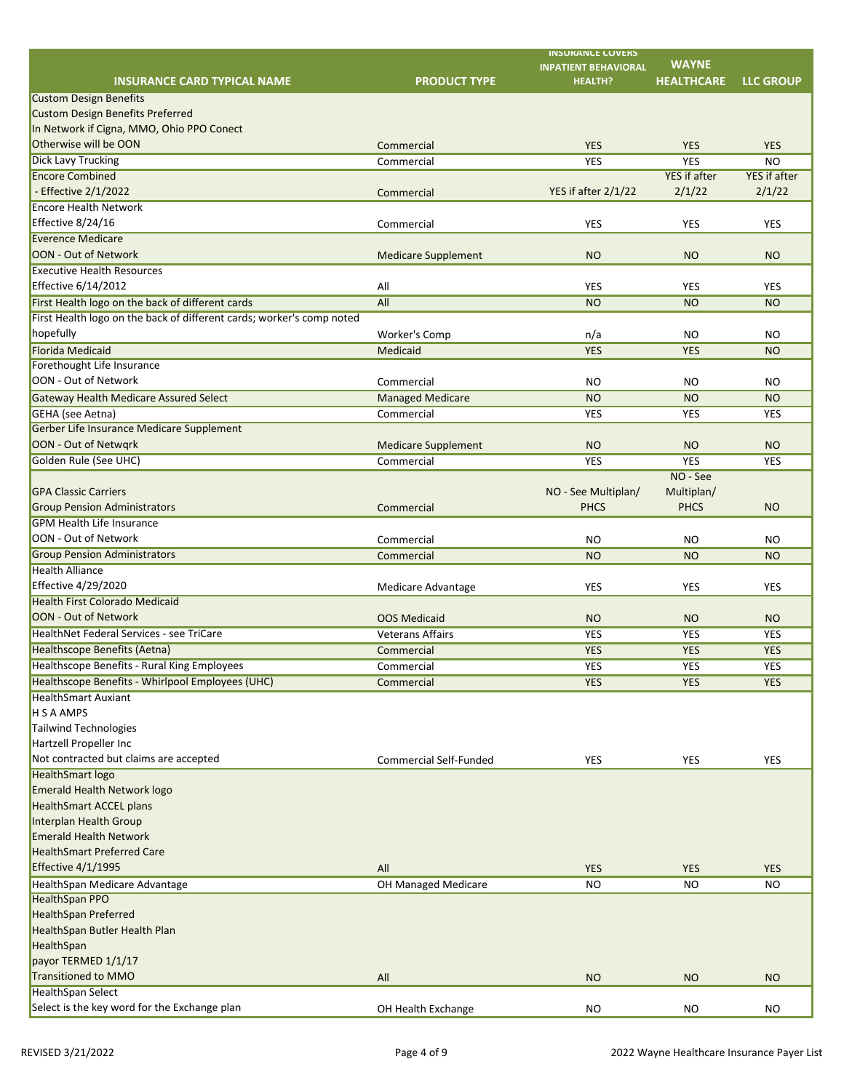|                                                                       |                               | <b>INSURANCE COVERS</b><br><b>INPATIENT BEHAVIORAL</b> | <b>WAYNE</b>        |                     |
|-----------------------------------------------------------------------|-------------------------------|--------------------------------------------------------|---------------------|---------------------|
| <b>INSURANCE CARD TYPICAL NAME</b>                                    | <b>PRODUCT TYPE</b>           | <b>HEALTH?</b>                                         | <b>HEALTHCARE</b>   | <b>LLC GROUP</b>    |
| <b>Custom Design Benefits</b>                                         |                               |                                                        |                     |                     |
| <b>Custom Design Benefits Preferred</b>                               |                               |                                                        |                     |                     |
| In Network if Cigna, MMO, Ohio PPO Conect                             |                               |                                                        |                     |                     |
| Otherwise will be OON                                                 | Commercial                    | <b>YES</b>                                             | <b>YES</b>          | <b>YES</b>          |
| <b>Dick Lavy Trucking</b>                                             | Commercial                    | <b>YES</b>                                             | <b>YES</b>          | <b>NO</b>           |
| <b>Encore Combined</b>                                                |                               |                                                        | <b>YES</b> if after | <b>YES</b> if after |
| - Effective 2/1/2022                                                  | Commercial                    | YES if after 2/1/22                                    | 2/1/22              | 2/1/22              |
| <b>Encore Health Network</b>                                          |                               |                                                        |                     |                     |
| Effective 8/24/16                                                     | Commercial                    | <b>YES</b>                                             | YES                 | <b>YES</b>          |
| <b>Everence Medicare</b>                                              |                               |                                                        |                     |                     |
| OON - Out of Network                                                  | <b>Medicare Supplement</b>    | <b>NO</b>                                              | <b>NO</b>           | <b>NO</b>           |
| <b>Executive Health Resources</b>                                     |                               |                                                        |                     |                     |
| <b>Effective 6/14/2012</b>                                            | All                           | <b>YES</b>                                             | <b>YES</b>          | <b>YES</b>          |
| First Health logo on the back of different cards                      | All                           | <b>NO</b>                                              | <b>NO</b>           | <b>NO</b>           |
| First Health logo on the back of different cards; worker's comp noted |                               |                                                        |                     |                     |
| hopefully                                                             | Worker's Comp                 | n/a                                                    | <b>NO</b>           | <b>NO</b>           |
| <b>Florida Medicaid</b>                                               | Medicaid                      | <b>YES</b>                                             | <b>YES</b>          | <b>NO</b>           |
| Forethought Life Insurance                                            |                               |                                                        |                     |                     |
| OON - Out of Network                                                  | Commercial                    | <b>NO</b>                                              | <b>NO</b>           | <b>NO</b>           |
| <b>Gateway Health Medicare Assured Select</b>                         | <b>Managed Medicare</b>       | <b>NO</b>                                              | <b>NO</b>           | <b>NO</b>           |
| GEHA (see Aetna)                                                      | Commercial                    | <b>YES</b>                                             | <b>YES</b>          | <b>YES</b>          |
| Gerber Life Insurance Medicare Supplement                             |                               |                                                        |                     |                     |
| OON - Out of Netwqrk                                                  | <b>Medicare Supplement</b>    | <b>NO</b>                                              | <b>NO</b>           | <b>NO</b>           |
| Golden Rule (See UHC)                                                 | Commercial                    | <b>YES</b>                                             | <b>YES</b>          | <b>YES</b>          |
|                                                                       |                               |                                                        | NO - See            |                     |
| <b>GPA Classic Carriers</b>                                           |                               | NO - See Multiplan/                                    | Multiplan/          |                     |
| <b>Group Pension Administrators</b>                                   | Commercial                    | <b>PHCS</b>                                            | <b>PHCS</b>         | <b>NO</b>           |
| <b>GPM Health Life Insurance</b>                                      |                               |                                                        |                     |                     |
| OON - Out of Network                                                  | Commercial                    | <b>NO</b>                                              | <b>NO</b>           | <b>NO</b>           |
| <b>Group Pension Administrators</b>                                   | Commercial                    | <b>NO</b>                                              | <b>NO</b>           | <b>NO</b>           |
| <b>Health Alliance</b>                                                |                               |                                                        |                     |                     |
| <b>Effective 4/29/2020</b>                                            | Medicare Advantage            | <b>YES</b>                                             | <b>YES</b>          | <b>YES</b>          |
| <b>Health First Colorado Medicaid</b>                                 |                               |                                                        |                     |                     |
| OON - Out of Network                                                  | <b>OOS Medicaid</b>           | <b>NO</b>                                              | <b>NO</b>           | <b>NO</b>           |
| <b>HealthNet Federal Services - see TriCare</b>                       | <b>Veterans Affairs</b>       | <b>YES</b>                                             | YES                 | <b>YES</b>          |
| Healthscope Benefits (Aetna)                                          | Commercial                    | <b>YES</b>                                             | <b>YES</b>          | <b>YES</b>          |
| <b>Healthscope Benefits - Rural King Employees</b>                    | Commercial                    | <b>YES</b>                                             | YES                 | YES                 |
| Healthscope Benefits - Whirlpool Employees (UHC)                      | Commercial                    | <b>YES</b>                                             | <b>YES</b>          | <b>YES</b>          |
| <b>HealthSmart Auxiant</b>                                            |                               |                                                        |                     |                     |
| H S A AMPS                                                            |                               |                                                        |                     |                     |
| Tailwind Technologies                                                 |                               |                                                        |                     |                     |
| Hartzell Propeller Inc                                                |                               |                                                        |                     |                     |
| Not contracted but claims are accepted                                | <b>Commercial Self-Funded</b> | <b>YES</b>                                             | <b>YES</b>          | YES                 |
| <b>HealthSmart logo</b>                                               |                               |                                                        |                     |                     |
| <b>Emerald Health Network logo</b>                                    |                               |                                                        |                     |                     |
| <b>HealthSmart ACCEL plans</b><br>Interplan Health Group              |                               |                                                        |                     |                     |
| <b>Emerald Health Network</b>                                         |                               |                                                        |                     |                     |
| <b>HealthSmart Preferred Care</b>                                     |                               |                                                        |                     |                     |
|                                                                       |                               |                                                        |                     |                     |
| <b>Effective 4/1/1995</b>                                             | All                           | <b>YES</b>                                             | <b>YES</b>          | <b>YES</b>          |
| HealthSpan Medicare Advantage<br><b>HealthSpan PPO</b>                | OH Managed Medicare           | <b>NO</b>                                              | <b>NO</b>           | <b>NO</b>           |
| <b>HealthSpan Preferred</b>                                           |                               |                                                        |                     |                     |
|                                                                       |                               |                                                        |                     |                     |
| HealthSpan Butler Health Plan                                         |                               |                                                        |                     |                     |
| HealthSpan<br>payor TERMED 1/1/17                                     |                               |                                                        |                     |                     |
| <b>Transitioned to MMO</b>                                            |                               |                                                        | <b>NO</b>           | <b>NO</b>           |
| <b>HealthSpan Select</b>                                              | All                           | <b>NO</b>                                              |                     |                     |
| Select is the key word for the Exchange plan                          | OH Health Exchange            | <b>NO</b>                                              | <b>NO</b>           | <b>NO</b>           |
|                                                                       |                               |                                                        |                     |                     |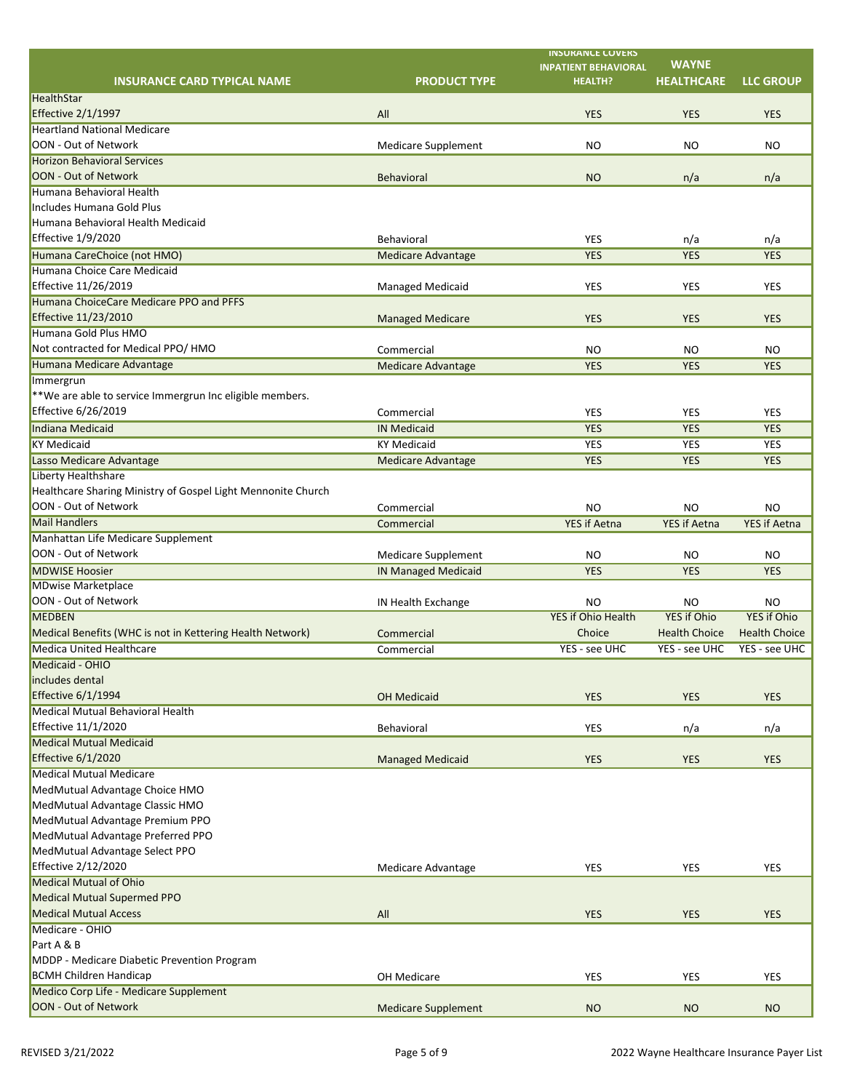|                                                              |                            | <b>INSURANCE COVERS</b>                | <b>WAYNE</b>                    |                                 |
|--------------------------------------------------------------|----------------------------|----------------------------------------|---------------------------------|---------------------------------|
|                                                              |                            | <b>INPATIENT BEHAVIORAL</b>            |                                 |                                 |
| <b>INSURANCE CARD TYPICAL NAME</b>                           | <b>PRODUCT TYPE</b>        | <b>HEALTH?</b>                         | <b>HEALTHCARE</b>               | <b>LLC GROUP</b>                |
| HealthStar                                                   |                            |                                        |                                 |                                 |
| <b>Effective 2/1/1997</b>                                    | All                        | <b>YES</b>                             | <b>YES</b>                      | <b>YES</b>                      |
| <b>Heartland National Medicare</b>                           |                            |                                        |                                 |                                 |
| OON - Out of Network                                         | <b>Medicare Supplement</b> | <b>NO</b>                              | <b>NO</b>                       | <b>NO</b>                       |
| <b>Horizon Behavioral Services</b>                           |                            |                                        |                                 |                                 |
| OON - Out of Network                                         | <b>Behavioral</b>          | <b>NO</b>                              | n/a                             | n/a                             |
| Humana Behavioral Health                                     |                            |                                        |                                 |                                 |
| Includes Humana Gold Plus                                    |                            |                                        |                                 |                                 |
| Humana Behavioral Health Medicaid                            |                            |                                        |                                 |                                 |
| Effective 1/9/2020                                           | Behavioral                 | <b>YES</b>                             | n/a                             | n/a                             |
| Humana CareChoice (not HMO)                                  | <b>Medicare Advantage</b>  | <b>YES</b>                             | <b>YES</b>                      | <b>YES</b>                      |
| Humana Choice Care Medicaid                                  |                            |                                        |                                 |                                 |
| Effective 11/26/2019                                         | <b>Managed Medicaid</b>    | <b>YES</b>                             | <b>YES</b>                      | <b>YES</b>                      |
| Humana ChoiceCare Medicare PPO and PFFS                      |                            |                                        |                                 |                                 |
| Effective 11/23/2010                                         | <b>Managed Medicare</b>    | <b>YES</b>                             | <b>YES</b>                      | <b>YES</b>                      |
| Humana Gold Plus HMO                                         |                            |                                        |                                 |                                 |
| Not contracted for Medical PPO/ HMO                          | Commercial                 | <b>NO</b>                              | <b>NO</b>                       | <b>NO</b>                       |
| Humana Medicare Advantage                                    | <b>Medicare Advantage</b>  | <b>YES</b>                             | <b>YES</b>                      | <b>YES</b>                      |
| Immergrun                                                    |                            |                                        |                                 |                                 |
| $*$ We are able to service Immergrun Inc eligible members.   |                            |                                        |                                 |                                 |
| Effective 6/26/2019                                          | Commercial                 | <b>YES</b>                             | <b>YES</b>                      | <b>YES</b>                      |
| Indiana Medicaid                                             | <b>IN Medicaid</b>         | <b>YES</b>                             | <b>YES</b>                      | <b>YES</b>                      |
| <b>KY Medicaid</b>                                           | <b>KY Medicaid</b>         | <b>YES</b>                             | YES                             | YES                             |
| Lasso Medicare Advantage                                     | <b>Medicare Advantage</b>  | <b>YES</b>                             | <b>YES</b>                      | <b>YES</b>                      |
| Liberty Healthshare                                          |                            |                                        |                                 |                                 |
| Healthcare Sharing Ministry of Gospel Light Mennonite Church |                            |                                        |                                 |                                 |
| OON - Out of Network                                         | Commercial                 | <b>NO</b>                              | <b>NO</b>                       | <b>NO</b>                       |
| <b>Mail Handlers</b>                                         | Commercial                 | <b>YES if Aetna</b>                    | <b>YES if Aetna</b>             | <b>YES if Aetna</b>             |
| Manhattan Life Medicare Supplement                           |                            |                                        |                                 |                                 |
| OON - Out of Network                                         | <b>Medicare Supplement</b> | <b>NO</b>                              | <b>NO</b>                       | <b>NO</b>                       |
| <b>MDWISE Hoosier</b>                                        | <b>IN Managed Medicaid</b> | <b>YES</b>                             | <b>YES</b>                      | <b>YES</b>                      |
| <b>MDwise Marketplace</b>                                    |                            |                                        |                                 |                                 |
| OON - Out of Network                                         |                            |                                        |                                 |                                 |
| <b>MEDBEN</b>                                                | IN Health Exchange         | <b>NO</b><br><b>YES if Ohio Health</b> | <b>NO</b><br><b>YES if Ohio</b> | <b>NO</b><br><b>YES if Ohio</b> |
| Medical Benefits (WHC is not in Kettering Health Network)    |                            | Choice                                 | <b>Health Choice</b>            | <b>Health Choice</b>            |
| <b>Medica United Healthcare</b>                              | Commercial                 |                                        |                                 |                                 |
|                                                              | Commercial                 | YES - see UHC                          | YES - see UHC                   | YES - see UHC                   |
| Medicaid - OHIO                                              |                            |                                        |                                 |                                 |
| includes dental                                              |                            |                                        |                                 |                                 |
| Effective 6/1/1994                                           | <b>OH Medicaid</b>         | <b>YES</b>                             | <b>YES</b>                      | <b>YES</b>                      |
| Medical Mutual Behavioral Health                             |                            |                                        |                                 |                                 |
| Effective 11/1/2020                                          | Behavioral                 | <b>YES</b>                             | n/a                             | n/a                             |
| <b>Medical Mutual Medicaid</b>                               |                            |                                        |                                 |                                 |
| Effective 6/1/2020                                           | <b>Managed Medicaid</b>    | <b>YES</b>                             | <b>YES</b>                      | <b>YES</b>                      |
| <b>Medical Mutual Medicare</b>                               |                            |                                        |                                 |                                 |
| MedMutual Advantage Choice HMO                               |                            |                                        |                                 |                                 |
| MedMutual Advantage Classic HMO                              |                            |                                        |                                 |                                 |
| MedMutual Advantage Premium PPO                              |                            |                                        |                                 |                                 |
| MedMutual Advantage Preferred PPO                            |                            |                                        |                                 |                                 |
| MedMutual Advantage Select PPO                               |                            |                                        |                                 |                                 |
| Effective 2/12/2020                                          | <b>Medicare Advantage</b>  | <b>YES</b>                             | <b>YES</b>                      | <b>YES</b>                      |
| <b>Medical Mutual of Ohio</b>                                |                            |                                        |                                 |                                 |
| Medical Mutual Supermed PPO                                  |                            |                                        |                                 |                                 |
| <b>Medical Mutual Access</b>                                 | All                        | <b>YES</b>                             | <b>YES</b>                      | <b>YES</b>                      |
| Medicare - OHIO                                              |                            |                                        |                                 |                                 |
| Part A & B                                                   |                            |                                        |                                 |                                 |
| MDDP - Medicare Diabetic Prevention Program                  |                            |                                        |                                 |                                 |
| <b>BCMH Children Handicap</b>                                | OH Medicare                | <b>YES</b>                             | <b>YES</b>                      | <b>YES</b>                      |
| Medico Corp Life - Medicare Supplement                       |                            |                                        |                                 |                                 |
| OON - Out of Network                                         | <b>Medicare Supplement</b> | <b>NO</b>                              | <b>NO</b>                       | <b>NO</b>                       |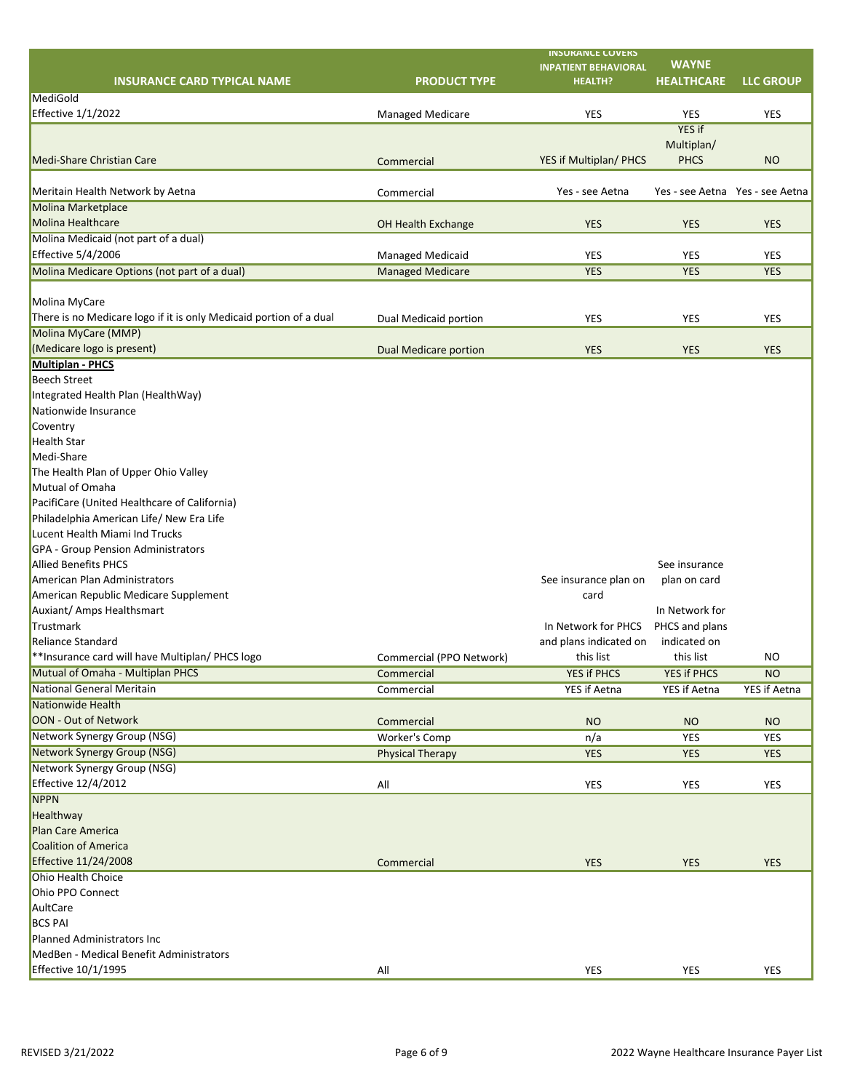|                                                                    |                              | <b>INSURANCE COVERS</b>     | <b>WAYNE</b>                    |                  |
|--------------------------------------------------------------------|------------------------------|-----------------------------|---------------------------------|------------------|
|                                                                    |                              | <b>INPATIENT BEHAVIORAL</b> |                                 |                  |
| <b>INSURANCE CARD TYPICAL NAME</b>                                 | <b>PRODUCT TYPE</b>          | <b>HEALTH?</b>              | <b>HEALTHCARE</b>               | <b>LLC GROUP</b> |
| MediGold                                                           |                              |                             |                                 |                  |
| Effective 1/1/2022                                                 | <b>Managed Medicare</b>      | <b>YES</b>                  | <b>YES</b>                      | <b>YES</b>       |
|                                                                    |                              |                             | YES if                          |                  |
|                                                                    |                              |                             | Multiplan/                      |                  |
| <b>Medi-Share Christian Care</b>                                   | Commercial                   | YES if Multiplan/ PHCS      | <b>PHCS</b>                     | <b>NO</b>        |
|                                                                    |                              |                             |                                 |                  |
| Meritain Health Network by Aetna                                   | Commercial                   | Yes - see Aetna             | Yes - see Aetna Yes - see Aetna |                  |
| Molina Marketplace                                                 |                              |                             |                                 |                  |
| Molina Healthcare                                                  | OH Health Exchange           | <b>YES</b>                  | <b>YES</b>                      | <b>YES</b>       |
| Molina Medicaid (not part of a dual)                               |                              |                             |                                 |                  |
| Effective 5/4/2006                                                 | <b>Managed Medicaid</b>      | <b>YES</b>                  | <b>YES</b>                      | <b>YES</b>       |
| Molina Medicare Options (not part of a dual)                       | <b>Managed Medicare</b>      | <b>YES</b>                  | <b>YES</b>                      | <b>YES</b>       |
|                                                                    |                              |                             |                                 |                  |
| Molina MyCare                                                      |                              |                             |                                 |                  |
| There is no Medicare logo if it is only Medicaid portion of a dual | Dual Medicaid portion        | <b>YES</b>                  | <b>YES</b>                      | <b>YES</b>       |
| Molina MyCare (MMP)                                                |                              |                             |                                 |                  |
| (Medicare logo is present)                                         | <b>Dual Medicare portion</b> | <b>YES</b>                  | <b>YES</b>                      | <b>YES</b>       |
| <b>Multiplan - PHCS</b>                                            |                              |                             |                                 |                  |
| <b>Beech Street</b>                                                |                              |                             |                                 |                  |
| Integrated Health Plan (HealthWay)                                 |                              |                             |                                 |                  |
| Nationwide Insurance                                               |                              |                             |                                 |                  |
| Coventry                                                           |                              |                             |                                 |                  |
| <b>Health Star</b>                                                 |                              |                             |                                 |                  |
| Medi-Share                                                         |                              |                             |                                 |                  |
| The Health Plan of Upper Ohio Valley                               |                              |                             |                                 |                  |
| Mutual of Omaha                                                    |                              |                             |                                 |                  |
| PacifiCare (United Healthcare of California)                       |                              |                             |                                 |                  |
| Philadelphia American Life/ New Era Life                           |                              |                             |                                 |                  |
| Lucent Health Miami Ind Trucks                                     |                              |                             |                                 |                  |
| <b>GPA - Group Pension Administrators</b>                          |                              |                             |                                 |                  |
|                                                                    |                              |                             |                                 |                  |
| <b>Allied Benefits PHCS</b>                                        |                              |                             | See insurance                   |                  |
| American Plan Administrators                                       |                              | See insurance plan on       | plan on card                    |                  |
| American Republic Medicare Supplement                              |                              | card                        |                                 |                  |
| Auxiant/ Amps Healthsmart                                          |                              |                             | In Network for                  |                  |
| Trustmark                                                          |                              | In Network for PHCS         | PHCS and plans                  |                  |
| Reliance Standard                                                  |                              | and plans indicated on      | indicated on                    |                  |
| **Insurance card will have Multiplan/ PHCS logo                    | Commercial (PPO Network)     | this list                   | this list                       | <b>NO</b>        |
| Mutual of Omaha - Multiplan PHCS                                   | Commercial                   | YES if PHCS                 | YES if PHCS                     | <b>NO</b>        |
| National General Meritain                                          | Commercial                   | YES if Aetna                | YES if Aetna                    | YES if Aetna     |
| Nationwide Health                                                  |                              |                             |                                 |                  |
| OON - Out of Network                                               | Commercial                   | <b>NO</b>                   | <b>NO</b>                       | <b>NO</b>        |
| Network Synergy Group (NSG)                                        | Worker's Comp                | n/a                         | YES                             | <b>YES</b>       |
| <b>Network Synergy Group (NSG)</b>                                 | <b>Physical Therapy</b>      | <b>YES</b>                  | <b>YES</b>                      | <b>YES</b>       |
| <b>Network Synergy Group (NSG)</b>                                 |                              |                             |                                 |                  |
| Effective 12/4/2012                                                | All                          | <b>YES</b>                  | <b>YES</b>                      | <b>YES</b>       |
| <b>NPPN</b>                                                        |                              |                             |                                 |                  |
| Healthway                                                          |                              |                             |                                 |                  |
|                                                                    |                              |                             |                                 |                  |
| Plan Care America                                                  |                              |                             |                                 |                  |
| Coalition of America                                               |                              |                             |                                 |                  |
| <b>Effective 11/24/2008</b>                                        | Commercial                   | <b>YES</b>                  | <b>YES</b>                      | <b>YES</b>       |
| <b>Ohio Health Choice</b>                                          |                              |                             |                                 |                  |
| Ohio PPO Connect                                                   |                              |                             |                                 |                  |
| AultCare                                                           |                              |                             |                                 |                  |
| <b>BCS PAI</b>                                                     |                              |                             |                                 |                  |
| Planned Administrators Inc                                         |                              |                             |                                 |                  |
| MedBen - Medical Benefit Administrators                            |                              |                             |                                 |                  |
| Effective 10/1/1995                                                | All                          | <b>YES</b>                  | <b>YES</b>                      | <b>YES</b>       |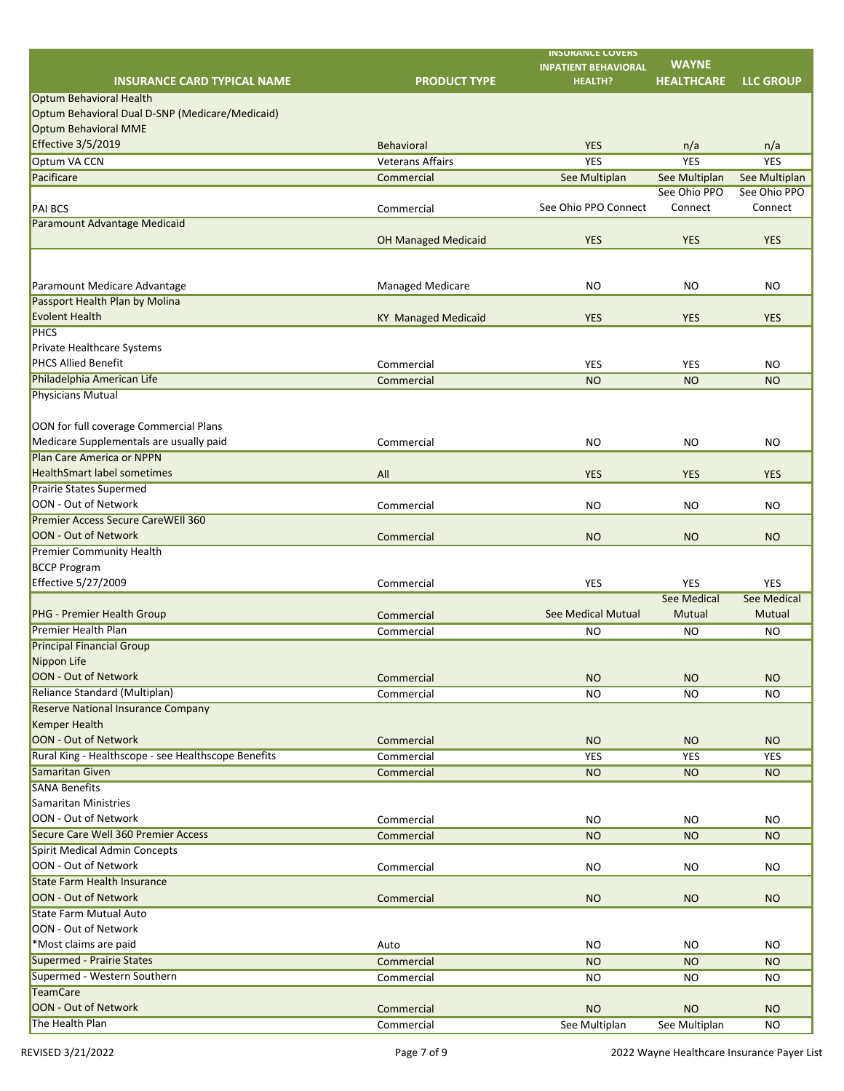|                                                                         |                            | <b>INSURANCE COVERS</b>     | <b>WAYNE</b>      |                    |
|-------------------------------------------------------------------------|----------------------------|-----------------------------|-------------------|--------------------|
|                                                                         |                            | <b>INPATIENT BEHAVIORAL</b> |                   |                    |
| <b>INSURANCE CARD TYPICAL NAME</b>                                      | <b>PRODUCT TYPE</b>        | <b>HEALTH?</b>              | <b>HEALTHCARE</b> | <b>LLC GROUP</b>   |
| <b>Optum Behavioral Health</b>                                          |                            |                             |                   |                    |
| Optum Behavioral Dual D-SNP (Medicare/Medicaid)<br>Optum Behavioral MME |                            |                             |                   |                    |
|                                                                         |                            |                             |                   |                    |
| <b>Effective 3/5/2019</b>                                               | <b>Behavioral</b>          | <b>YES</b>                  | n/a               | n/a                |
| Optum VA CCN                                                            | <b>Veterans Affairs</b>    | <b>YES</b>                  | <b>YES</b>        | <b>YES</b>         |
| Pacificare                                                              | Commercial                 | See Multiplan               | See Multiplan     | See Multiplan      |
|                                                                         |                            |                             | See Ohio PPO      | See Ohio PPO       |
| <b>PAI BCS</b>                                                          | Commercial                 | See Ohio PPO Connect        | Connect           | Connect            |
| Paramount Advantage Medicaid                                            |                            |                             |                   |                    |
|                                                                         | <b>OH Managed Medicaid</b> | <b>YES</b>                  | <b>YES</b>        | <b>YES</b>         |
|                                                                         |                            |                             |                   |                    |
|                                                                         |                            |                             |                   |                    |
| Paramount Medicare Advantage                                            | <b>Managed Medicare</b>    | <b>NO</b>                   | <b>NO</b>         | <b>NO</b>          |
| Passport Health Plan by Molina                                          |                            |                             |                   |                    |
| Evolent Health                                                          | <b>KY Managed Medicaid</b> | <b>YES</b>                  | <b>YES</b>        | <b>YES</b>         |
| <b>PHCS</b>                                                             |                            |                             |                   |                    |
| <b>Private Healthcare Systems</b>                                       |                            |                             |                   |                    |
| <b>PHCS Allied Benefit</b>                                              | Commercial                 | <b>YES</b>                  | <b>YES</b>        | <b>NO</b>          |
| Philadelphia American Life                                              | Commercial                 | <b>NO</b>                   | <b>NO</b>         | <b>NO</b>          |
| Physicians Mutual                                                       |                            |                             |                   |                    |
|                                                                         |                            |                             |                   |                    |
| OON for full coverage Commercial Plans                                  |                            |                             |                   |                    |
| Medicare Supplementals are usually paid                                 | Commercial                 | <b>NO</b>                   | <b>NO</b>         | <b>NO</b>          |
| Plan Care America or NPPN                                               |                            |                             |                   |                    |
| <b>HealthSmart label sometimes</b>                                      | All                        | <b>YES</b>                  | <b>YES</b>        | <b>YES</b>         |
| <b>Prairie States Supermed</b>                                          |                            |                             |                   |                    |
| OON - Out of Network                                                    | Commercial                 | <b>NO</b>                   | <b>NO</b>         | <b>NO</b>          |
| <b>Premier Access Secure CareWEll 360</b>                               |                            |                             |                   |                    |
| OON - Out of Network                                                    | Commercial                 | <b>NO</b>                   | <b>NO</b>         | <b>NO</b>          |
| <b>Premier Community Health</b>                                         |                            |                             |                   |                    |
| <b>BCCP Program</b>                                                     |                            |                             |                   |                    |
| Effective 5/27/2009                                                     | Commercial                 | <b>YES</b>                  | <b>YES</b>        | <b>YES</b>         |
|                                                                         |                            |                             | See Medical       | <b>See Medical</b> |
| <b>PHG - Premier Health Group</b>                                       | Commercial                 | <b>See Medical Mutual</b>   | Mutual            | Mutual             |
| <b>Premier Health Plan</b>                                              | Commercial                 | <b>NO</b>                   | <b>NO</b>         | <b>NO</b>          |
| <b>Principal Financial Group</b>                                        |                            |                             |                   |                    |
| Nippon Life                                                             |                            |                             |                   |                    |
| OON - Out of Network                                                    | Commercial                 | <b>NO</b>                   | <b>NO</b>         | <b>NO</b>          |
| Reliance Standard (Multiplan)                                           | Commercial                 | <b>NO</b>                   | <b>NO</b>         | <b>NO</b>          |
| <b>Reserve National Insurance Company</b>                               |                            |                             |                   |                    |
| Kemper Health                                                           |                            |                             |                   |                    |
| OON - Out of Network                                                    | Commercial                 | <b>NO</b>                   | <b>NO</b>         | <b>NO</b>          |
| Rural King - Healthscope - see Healthscope Benefits                     | Commercial                 | <b>YES</b>                  | <b>YES</b>        | <b>YES</b>         |
| Samaritan Given                                                         | Commercial                 | <b>NO</b>                   | <b>NO</b>         | <b>NO</b>          |
| <b>SANA Benefits</b>                                                    |                            |                             |                   |                    |
| Samaritan Ministries                                                    |                            |                             |                   |                    |
| OON - Out of Network                                                    | Commercial                 | <b>NO</b>                   | <b>NO</b>         | <b>NO</b>          |
| Secure Care Well 360 Premier Access                                     | Commercial                 | <b>NO</b>                   | <b>NO</b>         | <b>NO</b>          |
| Spirit Medical Admin Concepts                                           |                            |                             |                   |                    |
| OON - Out of Network                                                    | Commercial                 | <b>NO</b>                   | <b>NO</b>         | <b>NO</b>          |
| <b>State Farm Health Insurance</b>                                      |                            |                             |                   |                    |
| OON - Out of Network                                                    | Commercial                 | <b>NO</b>                   | <b>NO</b>         | <b>NO</b>          |
| State Farm Mutual Auto                                                  |                            |                             |                   |                    |
| OON - Out of Network                                                    |                            |                             |                   |                    |
| *Most claims are paid                                                   | Auto                       | <b>NO</b>                   | <b>NO</b>         | <b>NO</b>          |
| Supermed - Prairie States                                               | Commercial                 | <b>NO</b>                   | <b>NO</b>         | <b>NO</b>          |
| Supermed - Western Southern                                             | Commercial                 | <b>NO</b>                   | <b>NO</b>         | <b>NO</b>          |
| <b>TeamCare</b>                                                         |                            |                             |                   |                    |
| OON - Out of Network                                                    | Commercial                 | <b>NO</b>                   | <b>NO</b>         | <b>NO</b>          |
| The Health Plan                                                         | Commercial                 | See Multiplan               | See Multiplan     | <b>NO</b>          |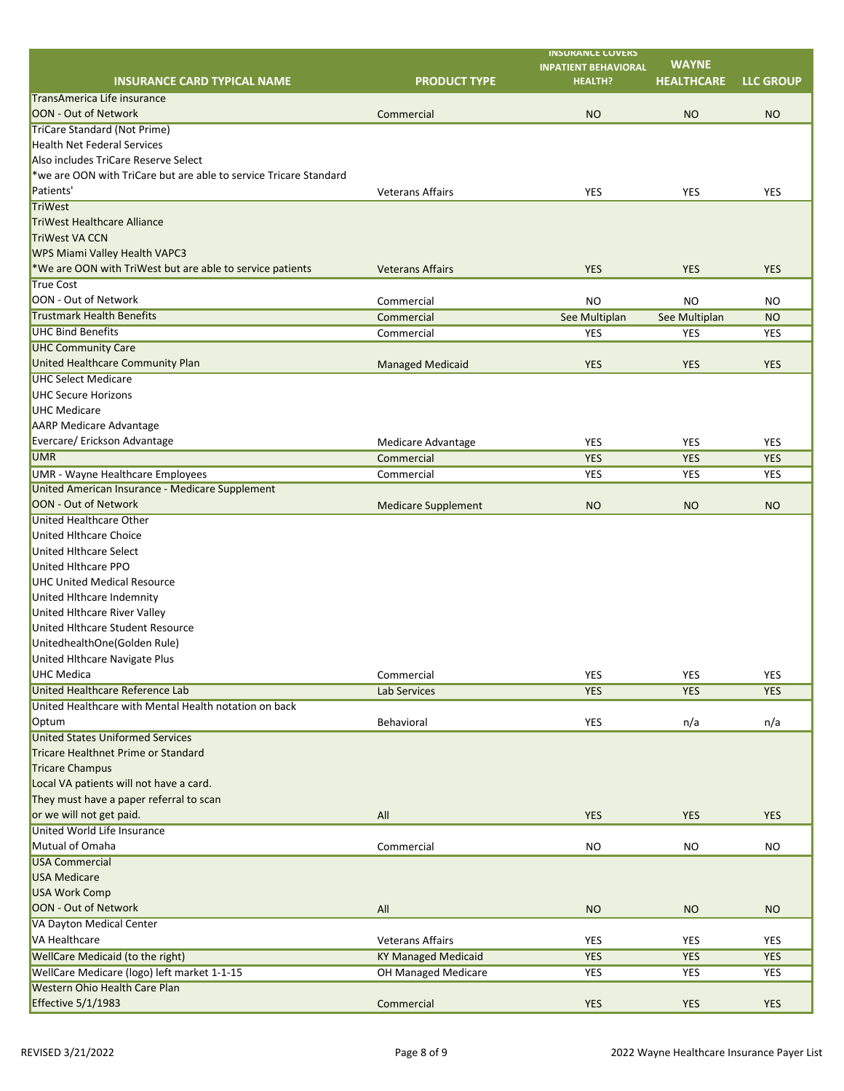|                                                                   |                            | <b>INSURANCE COVERS</b><br><b>INPATIENT BEHAVIORAL</b> | <b>WAYNE</b>      |                  |
|-------------------------------------------------------------------|----------------------------|--------------------------------------------------------|-------------------|------------------|
| <b>INSURANCE CARD TYPICAL NAME</b>                                | <b>PRODUCT TYPE</b>        | <b>HEALTH?</b>                                         | <b>HEALTHCARE</b> | <b>LLC GROUP</b> |
| TransAmerica Life insurance                                       |                            |                                                        |                   |                  |
| OON - Out of Network                                              | Commercial                 | <b>NO</b>                                              | <b>NO</b>         | <b>NO</b>        |
| <b>TriCare Standard (Not Prime)</b>                               |                            |                                                        |                   |                  |
| <b>Health Net Federal Services</b>                                |                            |                                                        |                   |                  |
| Also includes TriCare Reserve Select                              |                            |                                                        |                   |                  |
| *we are OON with TriCare but are able to service Tricare Standard |                            |                                                        |                   |                  |
| Patients'                                                         | <b>Veterans Affairs</b>    | <b>YES</b>                                             | <b>YES</b>        | <b>YES</b>       |
| <b>TriWest</b>                                                    |                            |                                                        |                   |                  |
| <b>TriWest Healthcare Alliance</b>                                |                            |                                                        |                   |                  |
| TriWest VA CCN                                                    |                            |                                                        |                   |                  |
| <b>WPS Miami Valley Health VAPC3</b>                              |                            |                                                        |                   |                  |
| *We are OON with TriWest but are able to service patients         | <b>Veterans Affairs</b>    | <b>YES</b>                                             | <b>YES</b>        | <b>YES</b>       |
| <b>True Cost</b>                                                  |                            |                                                        |                   |                  |
| OON - Out of Network                                              | Commercial                 | <b>NO</b>                                              | <b>NO</b>         | <b>NO</b>        |
| <b>Trustmark Health Benefits</b>                                  | Commercial                 | See Multiplan                                          | See Multiplan     | <b>NO</b>        |
| <b>UHC Bind Benefits</b>                                          | Commercial                 | <b>YES</b>                                             | <b>YES</b>        | <b>YES</b>       |
| <b>UHC Community Care</b>                                         |                            |                                                        |                   |                  |
| United Healthcare Community Plan                                  | <b>Managed Medicaid</b>    | <b>YES</b>                                             | <b>YES</b>        | <b>YES</b>       |
| <b>UHC Select Medicare</b>                                        |                            |                                                        |                   |                  |
| <b>UHC Secure Horizons</b>                                        |                            |                                                        |                   |                  |
| UHC Medicare                                                      |                            |                                                        |                   |                  |
| <b>AARP Medicare Advantage</b>                                    |                            |                                                        |                   |                  |
| Evercare/ Erickson Advantage                                      | Medicare Advantage         | <b>YES</b>                                             | <b>YES</b>        | <b>YES</b>       |
| <b>UMR</b>                                                        | Commercial                 | <b>YES</b>                                             | <b>YES</b>        | <b>YES</b>       |
| <b>UMR - Wayne Healthcare Employees</b>                           | Commercial                 | <b>YES</b>                                             | <b>YES</b>        | <b>YES</b>       |
| United American Insurance - Medicare Supplement                   |                            |                                                        |                   |                  |
| OON - Out of Network                                              | <b>Medicare Supplement</b> | <b>NO</b>                                              | <b>NO</b>         | <b>NO</b>        |
| United Healthcare Other                                           |                            |                                                        |                   |                  |
| <b>United Hithcare Choice</b>                                     |                            |                                                        |                   |                  |
| <b>United Hithcare Select</b>                                     |                            |                                                        |                   |                  |
| <b>United Hithcare PPO</b>                                        |                            |                                                        |                   |                  |
| <b>UHC United Medical Resource</b>                                |                            |                                                        |                   |                  |
| United Hlthcare Indemnity                                         |                            |                                                        |                   |                  |
| United Hithcare River Valley                                      |                            |                                                        |                   |                  |
| United Hithcare Student Resource                                  |                            |                                                        |                   |                  |
| UnitedhealthOne(Golden Rule)                                      |                            |                                                        |                   |                  |
| United Hithcare Navigate Plus                                     |                            |                                                        |                   |                  |
| <b>UHC Medica</b>                                                 | Commercial                 | <b>YES</b>                                             | <b>YES</b>        | <b>YES</b>       |
| United Healthcare Reference Lab                                   | <b>Lab Services</b>        | <b>YES</b>                                             | <b>YES</b>        | <b>YES</b>       |
| United Healthcare with Mental Health notation on back             |                            |                                                        |                   |                  |
| Optum                                                             | Behavioral                 | <b>YES</b>                                             | n/a               | n/a              |
| <b>United States Uniformed Services</b>                           |                            |                                                        |                   |                  |
| Tricare Healthnet Prime or Standard                               |                            |                                                        |                   |                  |
| <b>Tricare Champus</b>                                            |                            |                                                        |                   |                  |
| Local VA patients will not have a card.                           |                            |                                                        |                   |                  |
| They must have a paper referral to scan                           |                            |                                                        |                   |                  |
| or we will not get paid.                                          | All                        | <b>YES</b>                                             | <b>YES</b>        | <b>YES</b>       |
| <b>United World Life Insurance</b>                                |                            |                                                        |                   |                  |
| Mutual of Omaha                                                   | Commercial                 | <b>NO</b>                                              | <b>NO</b>         | <b>NO</b>        |
| USA Commercial                                                    |                            |                                                        |                   |                  |
| <b>USA Medicare</b>                                               |                            |                                                        |                   |                  |
| <b>USA Work Comp</b>                                              |                            |                                                        |                   |                  |
| OON - Out of Network                                              | All                        | <b>NO</b>                                              | <b>NO</b>         | <b>NO</b>        |
| VA Dayton Medical Center                                          |                            |                                                        |                   |                  |
| VA Healthcare                                                     | <b>Veterans Affairs</b>    | <b>YES</b>                                             | <b>YES</b>        | <b>YES</b>       |
| <b>WellCare Medicaid (to the right)</b>                           | <b>KY Managed Medicaid</b> | <b>YES</b>                                             | <b>YES</b>        | <b>YES</b>       |
| WellCare Medicare (logo) left market 1-1-15                       | OH Managed Medicare        | <b>YES</b>                                             | <b>YES</b>        | <b>YES</b>       |
| <b>Western Ohio Health Care Plan</b>                              |                            |                                                        |                   |                  |
| <b>Effective 5/1/1983</b>                                         | Commercial                 | <b>YES</b>                                             | <b>YES</b>        | <b>YES</b>       |